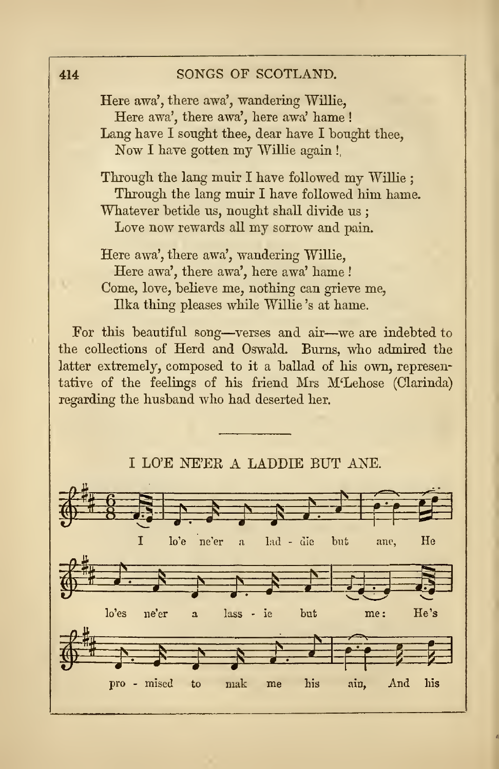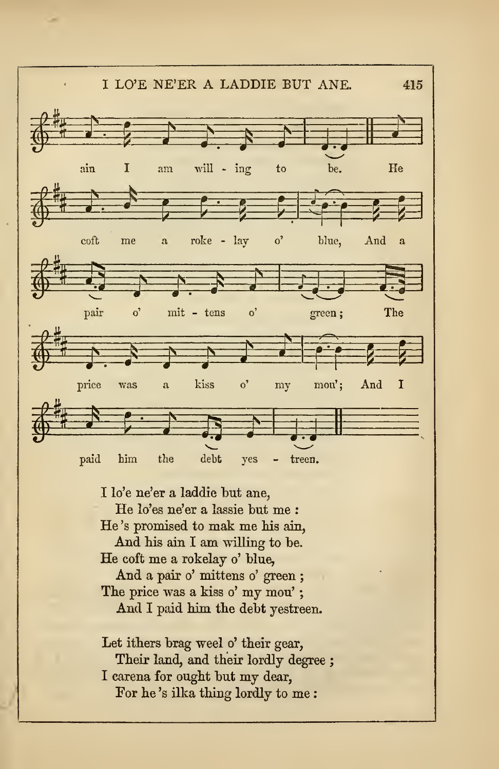